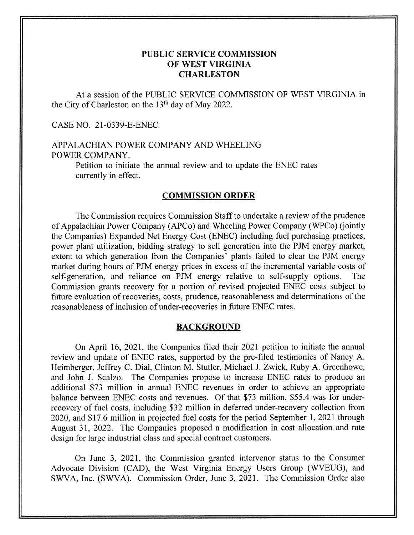# **PUBLIC SERVICE COMMISSION OF WEST VIRGINIA CHARLESTON**

At a session of the PUBLIC SERVICE COMMISSION OF WEST VIRGINIA in the City of Charleston on the 13<sup>th</sup> day of May 2022.

CASE NO. 21-0339-E-ENEC

# APPALACHIAN POWER COMPANY AND WHEELING POWER COMPANY.

Petition to initiate the annual review and to update the ENEC rates currently in effect.

### **COMMISSION ORDER**

The Commission requires Commission Staff to undertake a review of the prudence of Appalachian Power Company (APCo) and Wheeling Power Company (WPCo) (jointly the Companies) Expanded Net Energy Cost (ENEC) including fuel purchasing practices, power plant utilization, bidding strategy to sell generation into the PJM energy market, extent to which generation from the Companies' plants failed to clear the PJM energy market during hours of PJM energy prices in excess of the incremental variable costs of self-generation, and reliance on PJM energy relative to self-supply options. The Commission grants recovery for a portion of revised projected ENEC costs subject to future evaluation of recoveries, costs, prudence, reasonableness and determinations of the reasonableness of inclusion of under-recoveries in future ENEC rates.

#### **BACKGROUND**

On April 16, 2021, the Companies filed their 2021 petition to initiate the annual review and update of ENEC rates, supported by the pre-filed testimonies of Nancy A. Heimberger, Jeffrey C. Dial, Clinton M. Stutler, Michael J. Zwick, Ruby A. Greenhowe, and John J. Scalzo. The Companies propose to increase ENEC rates to produce an additional \$73 million in annual ENEC revenues in order to achieve an appropriate balance between ENEC costs and revenues. Of that \$73 million, \$55.4 was for underrecovery of fuel costs, including \$32 million in deferred under-recovery collection from 2020, and \$17.6 million in projected fuel costs for the period September 1, 2021 through August 31, 2022. The Companies proposed a modification in cost allocation and rate design for large industrial class and special contract customers.

On June 3, 2021, the Commission granted intervenor status to the Consumer Advocate Division (CAD), the West Virginia Energy Users Group (WVEUG), and SWVA, Inc. (SWVA). Commission Order, June 3, 2021. The Commission Order also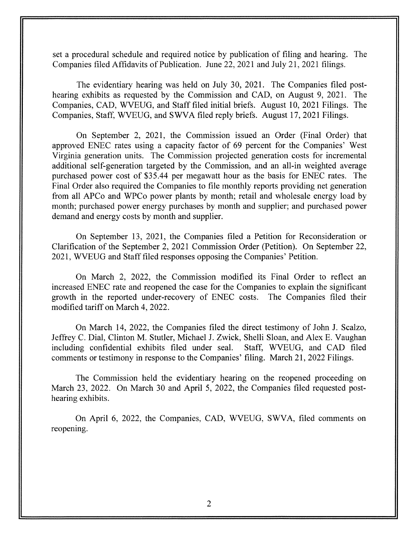set a procedural schedule and required notice by publication of filing and hearing. The Companies filed Affidavits of Publication. June 22, 2021 and July 21, 2021 filings.

The evidentiary hearing was held on July 30, 2021. The Companies filed posthearing exhibits as requested by the Commission and CAD, on August 9, 2021. The Companies, CAD, WVEUG, and Staff filed initial briefs. August 10, 2021 Filings. The Companies, Staff, WVEUG, and SWVA filed reply briefs. August 17,2021 Filings.

On September 2, 2021, the Commission issued an Order (Final Order) that approved ENEC rates using a capacity factor of 69 percent for the Companies' West Virginia generation units. The Commission projected generation costs for incremental additional self-generation targeted by the Commission, and an all-in weighted average purchased power cost of \$35.44 per megawatt hour as the basis for ENEC rates. The Final Order also required the Companies to file monthly reports providing net generation from all APCo and WPCo power plants by month; retail and wholesale energy load by month; purchased power energy purchases by month and supplier; and purchased power demand and energy costs by month and supplier.

On September 13, 2021, the Companies filed a Petition for Reconsideration or Clarification of the September 2, 2021 Commission Order (Petition). On September 22, 202 1, WVEUG and Staff filed responses opposing the Companies' Petition.

On March 2, 2022, the Commission modified its Final Order to reflect an increased ENEC rate and reopened the case for the Companies to explain the significant growth in the reported under-recovery of ENEC costs. The Companies filed their modified tariff on March 4, 2022.

On March 14, 2022, the Companies filed the direct testimony of John J. Scalzo, Jeffrey C. Dial, Clinton M. Stutler, Michael J. Zwick, Shelli Sloan, and Alex E. Vaughan including confidential exhibits filed under seal. Staff, WVEUG, and CAD filed comments or testimony in response to the Companies' filing. March 21, 2022 Filings.

The Commission held the evidentiary hearing on the reopened proceeding on March 23, 2022. On March 30 and April 5, 2022, the Companies filed requested posthearing exhibits.

On April 6, 2022, the Companies, CAD, WVEUG, SWVA, filed comments on reopening.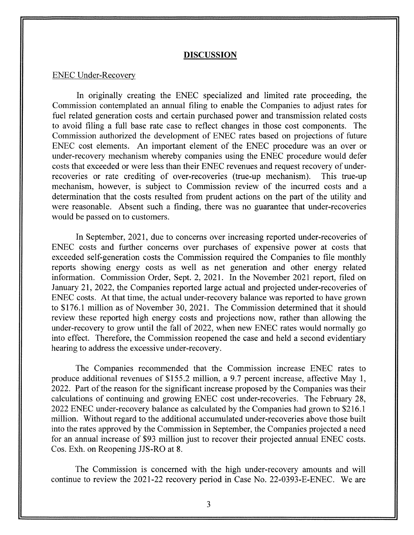#### **DISCUSSION**

#### ENEC Under-Recovery

In originally creating the ENEC specialized and limited rate proceeding, the Commission contemplated an annual filing to enable the Companies to adjust rates for fuel related generation costs and certain purchased power and transmission related costs to avoid filing a full base rate case to reflect changes in those cost components. The Commission authorized the development of ENEC rates based on projections of future ENEC cost elements. An important element of the ENEC procedure was an over or under-recovery mechanism whereby companies using the ENEC procedure would defer costs that exceeded or were less than their ENEC revenues and request recovery of underrecoveries or rate crediting of over-recoveries (true-up mechanism). This true-up mechanism, however, is subject to Commission review of the incurred costs and a determination that the costs resulted from prudent actions on the part of the utility and were reasonable. Absent such a finding, there was no guarantee that under-recoveries would be passed on to customers.

In September, 2021, due to concerns over increasing reported under-recoveries of ENEC costs and further concerns over purchases of expensive power at costs that exceeded self-generation costs the Commission required the Companies to file monthly reports showing energy costs as well as net generation and other energy related information. Commission Order, Sept. 2, 2021. In the November 2021 report, filed on January 21, 2022, the Companies reported large actual and projected under-recoveries of ENEC costs. At that time, the actual under-recovery balance was reported to have grown to \$176.1 million as of November 30, 2021. The Commission determined that it should review these reported high energy costs and projections now, rather than allowing the under-recovery to grow until the fall of 2022, when new ENEC rates would normally go into effect. Therefore, the Commission reopened the case and held a second evidentiary hearing to address the excessive under-recovery.

The Companies recommended that the Commission increase ENEC rates to produce additional revenues of \$155.2 million, a 9.7 percent increase, affective May 1, 2022. Part of the reason for the significant increase proposed by the Companies was their calculations of continuing and growing ENEC cost under-recoveries. The February 28, 2022 ENEC under-recovery balance as calculated by the Companies had grown to \$2 16.1 million. Without regard to the additional accumulated under-recoveries above those built into the rates approved by the Commission in September, the companies projected a need for an annual increase of \$93 million just to recover their projected annual ENEC costs. Cos. Exh. on Reopening JJS-RO at 8.

The Commission is concerned with the high under-recovery amounts and will continue to review the 2021-22 recovery period in Case No. 22-0393-E-ENEC. We are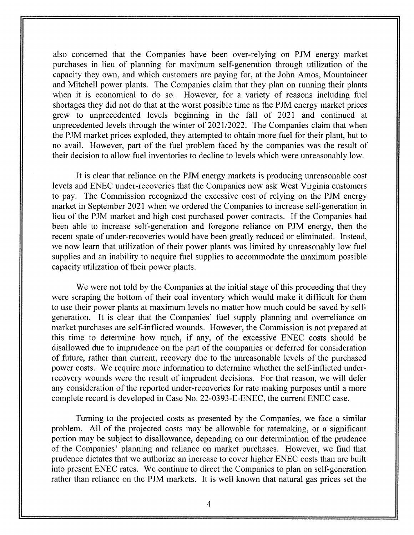also concerned that the Companies have been over-relying on PJM energy market purchases in lieu of planning for maximum self-generation through utilization of the capacity they own, and which customers are paying for, at the John Amos, Mountaineer and Mitchell power plants. The Companies claim that they plan on running their plants when it is economical to do so. However, for a variety of reasons including fuel shortages they did not do that at the worst possible time as the PJM energy market prices grew to unprecedented levels beginning in the fall of 2021 and continued at unprecedented levels through the winter of 2021/2022. The Companies claim that when the PJM market prices exploded, they attempted to obtain more fuel for their plant, but to no avail. However, part of the fuel problem faced by the companies was the result of their decision to allow fuel inventories to decline to levels which were unreasonably low.

It is clear that reliance on the PJM energy markets is producing unreasonable cost levels and ENEC under-recoveries that the Companies now ask West Virginia customers to pay. The Commission recognized the excessive cost of relying on the PJM energy market in September 2021 when we ordered the Companies to increase self-generation in lieu of the PJM market and high cost purchased power contracts. If the Companies had been able to increase self-generation and foregone reliance on PJM energy, then the recent spate of under-recoveries would have been greatly reduced or eliminated. Instead, we now learn that utilization of their power plants was limited by unreasonably low fuel supplies and an inability to acquire fuel supplies to accommodate the maximum possible capacity utilization of their power plants.

We were not told by the Companies at the initial stage of this proceeding that they were scraping the bottom of their coal inventory which would make it difficult for them to use their power plants at maximum levels no matter how much could be saved by selfgeneration. It is clear that the Companies' fuel supply planning and overreliance on market purchases are self-inflicted wounds. However, the Commission is not prepared at this time to determine how much, if any, of the excessive ENEC costs should be disallowed due to imprudence on the part of the companies or deferred for consideration of future, rather than current, recovery due to the unreasonable levels of the purchased power costs. We require more information to determine whether the self-inflicted underrecovery wounds were the result of imprudent decisions. For that reason, we will defer any consideration of the reported under-recoveries for rate making purposes until a more complete record is developed in Case No. 22-0393-E-ENEC, the current ENEC case.

Turning to the projected costs as presented by the Companies, we face a similar problem. All of the projected costs may be allowable for ratemaking, or a significant portion may be subject to disallowance, depending on our determination of the prudence of the Companies' planning and reliance on market purchases. However, we find that prudence dictates that we authorize an increase to cover higher ENEC costs than are built into present ENEC rates. We continue to direct the Companies to plan on self-generation rather than reliance on the PJM markets. It is well known that natural gas prices set the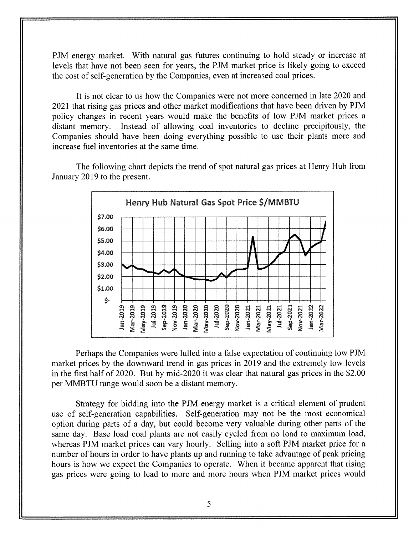PJM energy market. With natural gas futures continuing to hold steady or increase at levels that have not been seen for years, the PJM market price is likely going to exceed the cost of self-generation by the Companies, even at increased coal prices.

It is not clear to us how the companies were not more concerned in late 2020 and 2021 that rising gas prices and other market modifications that have been driven by PJM policy changes in recent years would make the benefits of low PJM market prices a distant memory. Instead of allowing coal inventories to decline precipitously, the Companies should have been doing everything possible to use their plants more and increase fuel inventories at the same time.

The following chart depicts the trend of spot natural gas prices at Henry Hub from January 2019 to the present.



Perhaps the Companies were lulled into a false expectation of continuing low PJM market prices by the downward trend in gas prices in 2019 and the extremely low levels in the first half of 2020. But by mid-2020 it was clear that natural gas prices in the \$2.00 per MMBTU range would soon be a distant memory.

Strategy for bidding into the PJM energy market is a critical element of prudent use of self-generation capabilities. Self-generation may not be the most economical option during parts of a day, but could become very valuable during other parts of the same day. Base load coal plants are not easily cycled from no load to maximum load, whereas PJM market prices can vary hourly. Selling into a soft PJM market price for a number of hours in order to have plants up and running to take advantage of peak pricing hours is how we expect the Companies to operate. When it became apparent that rising gas prices were going to lead to more and more hours when PJM market prices would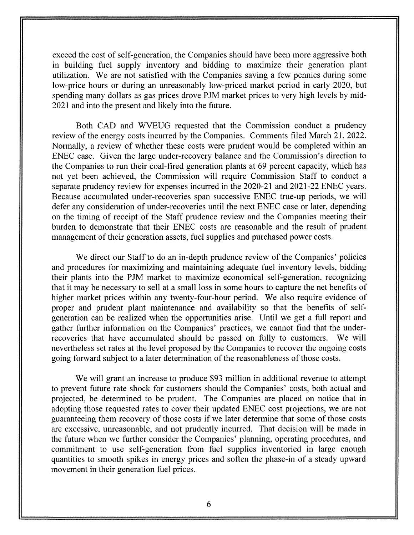exceed the cost of self-generation, the Companies should have been more aggressive both in building fuel supply inventory and bidding to maximize their generation plant utilization. We are not satisfied with the Companies saving a few pennies during some low-price hours or during an unreasonably low-priced market period in early 2020, but spending many dollars as gas prices drove PJM market prices to very high levels by mid-2021 and into the present and likely into the future.

Both CAD and WVEUG requested that the Commission conduct a prudency review of the energy costs incurred by the Companies. Comments filed March 21, 2022. Normally, a review of whether these costs were prudent would be completed within an ENEC case. Given the large under-recovery balance and the Commission's direction to the Companies to run their coal-fired generation plants at 69 percent capacity, which has not yet been achieved, the Commission will require Commission Staff to conduct a separate prudency review for expenses incurred in the 2020-21 and 2021-22 ENEC years. Because accumulated under-recoveries span successive ENEC true-up periods, we will defer any consideration of under-recoveries until the next ENEC case or later, depending on the timing of receipt of the Staff prudence review and the Companies meeting their burden to demonstrate that their ENEC costs are reasonable and the result of prudent management of their generation assets, fuel supplies and purchased power costs.

We direct our Staff to do an in-depth prudence review of the Companies' policies and procedures for maximizing and maintaining adequate fuel inventory levels, bidding their plants into the PJM market to maximize economical self-generation, recognizing that it may be necessary to sell at a small loss in some hours to capture the net benefits of higher market prices within any twenty-four-hour period. We also require evidence of proper and prudent plant maintenance and availability so that the benefits of selfgeneration can be realized when the opportunities arise. Until we get a full report and gather further information on the Companies' practices, we cannot find that the underrecoveries that have accumulated should be passed on fully to customers. We will nevertheless set rates at the level proposed by the Companies to recover the ongoing costs going forward subject to a later determination of the reasonableness of those costs.

We will grant an increase to produce \$93 million in additional revenue to attempt to prevent future rate shock for customers should the Companies' costs, both actual and projected, be determined to be prudent. The Companies are placed on notice that in adopting those requested rates to cover their updated ENEC cost projections, we are not guaranteeing them recovery of those costs if we later determine that some of those costs are excessive, unreasonable, and not prudently incurred. That decision will be made in the future when we further consider the Companies' planning, operating procedures, and commitment to use self-generation from fuel supplies inventoried in large enough quantities to smooth spikes in energy prices and soften the phase-in of a steady upward movement in their generation fuel prices.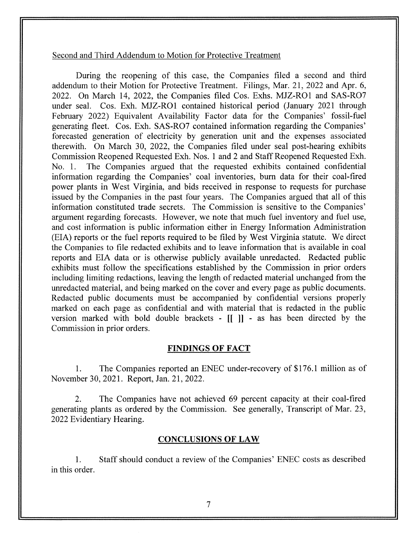#### Second and Third Addendum to Motion for Protective Treatment

During the reopening of this case, the Companies filed a second and third addendum to their Motion for Protective Treatment. Filings, Mar. 21, 2022 and Apr. 6, 2022. On March 14, 2022, the companies filed Cos. Exhs. MJZ-RO1 and SAS-RO7 under seal. Cos. Exh. MJZ-RO1 contained historical period (January 2021 through February 2022) Equivalent Availability Factor data for the Companies' fossil-fuel generating fleet. Cos. Exh. SAS-R07 contained information regarding the Companies' forecasted generation of electricity by generation unit and the expenses associated therewith. On March 30, 2022, the Companies filed under seal post-hearing exhibits Commission Reopened Requested Exh. Nos. 1 and 2 and Staff Reopened Requested Exh. No. 1. The Companies argued that the requested exhibits contained confidential information regarding the Companies' coal inventories, burn data for their coal-fired power plants in West Virginia, and bids received in response to requests for purchase issued by the Companies in the past four years. The Companies argued that all of this information constituted trade secrets. The Commission is sensitive to the Companies' argument regarding forecasts. However, we note that much fuel inventory and fuel use, and cost information is public information either in Energy Information Administration (EIA) reports or the fuel reports required to be filed by West Virginia statute. We direct the Companies to file redacted exhibits and to leave information that is available in coal reports and EIA data or is otherwise publicly available unredacted. Redacted public exhibits must follow the specifications established by the Commission in prior orders including limiting redactions, leaving the length of redacted material unchanged from the unredacted material, and being marked on the cover and every page as public documents. Redacted public documents must be accompanied by confidential versions properly marked on each page as confidential and with material that is redacted in the public version marked with bold double brackets - [[ I] - as has been directed by the Commission in prior orders.

## **FINDINGS OF FACT**

1. The Companies reported an ENEC under-recovery of \$176.1 million as of November 30,2021. Report, Jan. 21,2022.

2. The Companies have not achieved 69 percent capacity at their coal-fired generating plants as ordered by the Commission. See generally, Transcript of Mar. 23, 2022 Evidentiary Hearing.

## **CONCLUSIONS OF LAW**

1. Staff should conduct a review of the Companies' ENEC costs as described in this order.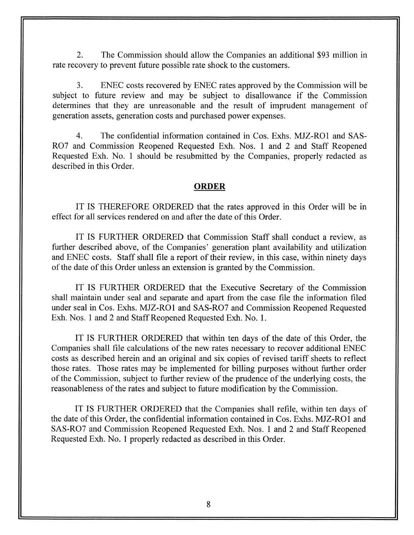2. The Commission should allow the Companies an additional \$93 million in rate recovery to prevent future possible rate shock to the customers.

3. ENEC costs recovered by ENEC rates approved by the Commission will be subject to future review and may be subject to disallowance if the Commission determines that they are unreasonable and the result of imprudent management of generation assets, generation costs and purchased power expenses.

4. The confidential information contained in Cos. Exhs. MJZ-RO1 and SAS-R07 and Commission Reopened Requested Exh. Nos. 1 and 2 and Staff Reopened Requested Exh. No. 1 should be resubmitted by the companies, properly redacted as described in this Order.

### **ORDER**

IT IS THEREFORE ORDERED that the rates approved in this Order will be in effect for all services rendered on and after the date of this Order.

IT IS FURTHER ORDERED that Commission Staff shall conduct a review, as further described above, of the Companies' generation plant availability and utilization and ENEC costs. Staff shall file a report of their review, in this case, within ninety days of the date of this Order unless an extension is granted by the Commission.

IT IS FURTHER ORDERED that the Executive Secretary of the Commission shall maintain under seal and separate and apart from the case file the information filed under seal in Cos. Exhs. MJZ-RO1 and SAS-R07 and Commission Reopened Requested Exh. Nos. 1 and 2 and Staff Reopened Requested Exh. No. 1.

IT IS FURTHER ORDERED that within ten days of the date of this Order, the Companies shall file calculations of the new rates necessary to recover additional ENEC costs as described herein and an original and six copies of revised tariff sheets to reflect those rates. Those rates may be implemented for billing purposes without further order of the Commission, subject to further review of the prudence of the underlying costs, the reasonableness of the rates and subject to future modification by the Commission.

IT IS FURTHER ORDERED that the Companies shall refile, within ten days of the date of this Order, the confidential information contained in Cos. Exhs. MJZ-RO1 and SAS-R07 and Commission Reopened Requested Exh. Nos. 1 and 2 and Staff Reopened Requested Exh. No. 1 properly redacted as described in this Order.